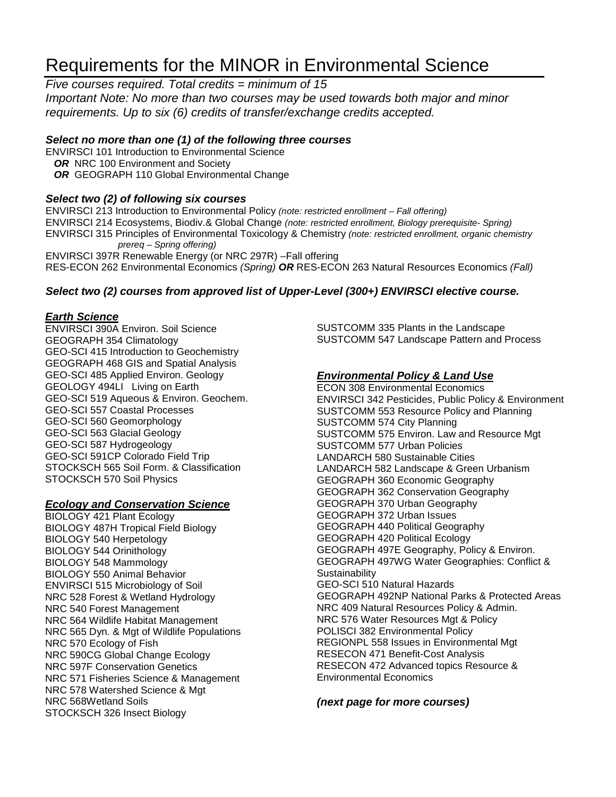# Requirements for the MINOR in Environmental Science

*Five courses required. Total credits = minimum of 15*

*Important Note: No more than two courses may be used towards both major and minor requirements. Up to six (6) credits of transfer/exchange credits accepted.* 

#### *Select no more than one (1) of the following three courses*

ENVIRSCI 101 Introduction to Environmental Science **OR** NRC 100 Environment and Society

**OR GEOGRAPH 110 Global Environmental Change** 

#### *Select two (2) of following six courses*

ENVIRSCI 213 Introduction to Environmental Policy *(note: restricted enrollment – Fall offering)* ENVIRSCI 214 Ecosystems, Biodiv.& Global Change *(note: restricted enrollment, Biology prerequisite- Spring)* ENVIRSCI 315 Principles of Environmental Toxicology & Chemistry *(note: restricted enrollment, organic chemistry prereq – Spring offering)* ENVIRSCI 397R Renewable Energy (or NRC 297R) –Fall offering RES-ECON 262 Environmental Economics *(Spring) OR* RES-ECON 263 Natural Resources Economics *(Fall)*

### *Select two (2) courses from approved list of Upper-Level (300+) ENVIRSCI elective course.*

#### *Earth Science*

ENVIRSCI 390A Environ. Soil Science GEOGRAPH 354 Climatology GEO-SCI 415 Introduction to Geochemistry GEOGRAPH 468 GIS and Spatial Analysis GEO-SCI 485 Applied Environ. Geology GEOLOGY 494LI Living on Earth GEO-SCI 519 Aqueous & Environ. Geochem. GEO-SCI 557 Coastal Processes GEO-SCI 560 Geomorphology GEO-SCI 563 Glacial Geology GEO-SCI 587 Hydrogeology GEO-SCI 591CP Colorado Field Trip STOCKSCH 565 Soil Form. & Classification STOCKSCH 570 Soil Physics

#### *Ecology and Conservation Science*

BIOLOGY 421 Plant Ecology BIOLOGY 487H Tropical Field Biology BIOLOGY 540 Herpetology BIOLOGY 544 Orinithology BIOLOGY 548 Mammology BIOLOGY 550 Animal Behavior ENVIRSCI 515 Microbiology of Soil NRC 528 Forest & Wetland Hydrology NRC 540 Forest Management NRC 564 Wildlife Habitat Management NRC 565 Dyn. & Mgt of Wildlife Populations NRC 570 Ecology of Fish NRC 590CG Global Change Ecology NRC 597F Conservation Genetics NRC 571 Fisheries Science & Management NRC 578 Watershed Science & Mgt NRC 568Wetland Soils STOCKSCH 326 Insect Biology

SUSTCOMM 335 Plants in the Landscape SUSTCOMM 547 Landscape Pattern and Process

#### *Environmental Policy & Land Use*

ECON 308 Environmental Economics ENVIRSCI 342 Pesticides, Public Policy & Environment SUSTCOMM 553 Resource Policy and Planning SUSTCOMM 574 City Planning SUSTCOMM 575 Environ. Law and Resource Mgt SUSTCOMM 577 Urban Policies LANDARCH 580 Sustainable Cities LANDARCH 582 Landscape & Green Urbanism GEOGRAPH 360 Economic Geography GEOGRAPH 362 Conservation Geography GEOGRAPH 370 Urban Geography GEOGRAPH 372 Urban Issues GEOGRAPH 440 Political Geography GEOGRAPH 420 Political Ecology GEOGRAPH 497E Geography, Policy & Environ. GEOGRAPH 497WG Water Geographies: Conflict & **Sustainability** GEO-SCI 510 Natural Hazards GEOGRAPH 492NP National Parks & Protected Areas NRC 409 Natural Resources Policy & Admin. NRC 576 Water Resources Mgt & Policy POLISCI 382 Environmental Policy REGIONPL 558 Issues in Environmental Mgt RESECON 471 Benefit-Cost Analysis RESECON 472 Advanced topics Resource & Environmental Economics

#### *(next page for more courses)*